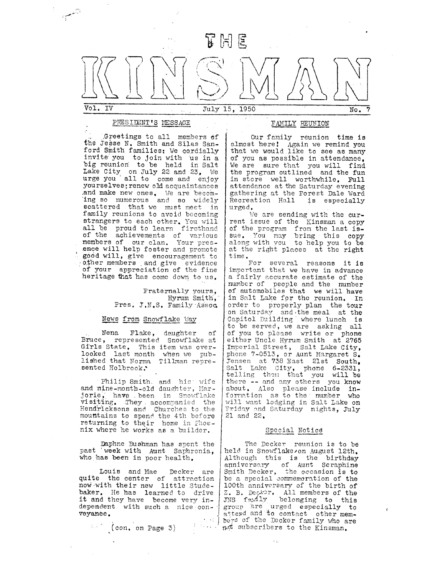

# PRESIDENT'S MESSAGE

 $5 - \frac{1}{2}$ 

Greetings to all members of the Jesse N. Smith and Silas Sanford Smith families: We cordially invite you to join with us in a<br>big reunion to be held in Salt<br>Lake City on July 22 and 23, We<br>urge you all to come and enjoy yourselves; renew old acquaintances and make new ones. We are becoming so numerous and so widely scattered that we must meet in<br>family reunions to avoid becoming strangers to each other. You will all be proud to learn firsthand<br>of the achievements of various members of our clan. Your presgood will, give encouragement to other members and give evidence of your appreciation of the fine heritage that has come down to us.

> Fraternally yours, Hyrum Smith, Pres. J.N.S. Family Assoc.

## News from Snowflake Way

Nena Flake, daughter of<br>Bruce, represented Snowflake at Girls State. This item was overlooked last month when we published that Norma Tillman represented Holbrook.

Philip Smith, and his wife and nine-month-old daughter, Marjorie, have been in Snowflake visiting. They accompanied the Hendricksons and Churches to the mountains to spend the 4th before returning to their home in Phoenix where he works as a builder.

Daphne Bushman has spent the past week with Aunt Saphronia, who has been in poor health.

Louis and Mae Decker are<br>quite the center of attraction now with their new little Studebaker. He has learned to drive it and they have become very independent with such a nice conveyance.

 $\sim$  (con. on Page 3)

# FAMILY REUNION

Our family reunion time is almost here! Again we remind you that we would like to see as many of you as possible in attendance. We are sure that you will find the program outlined and the fun in store well worthwhile, Full attendance at the Saturday evening gathering at the Forest Dale Ward Recreation Hall is especially urged.

We are sending with the current issue of the Kinsman a copy of the program from the last issue. You may bring this copy<br>along with you to help you to be at the right places at the right time.

For several reasons it is important that we have in advance a fairly accurate estimate of the number of people and the number of automobiles that we will have<br>in Salt Lake for the reunion. In order to properly plan the tour on Saturday and the meal at the Capitol Building where lunch is to be served, we are asking all<br>of you to please write or phone<br>either Uncle Hyrum Smith at 2765 Imperial Street, Salt Lake City, phone 7-0513, or Aunt Margaret S. Jensen at 738 East 21st South, Salt Lake City, phone 6-2331, telling them that you will be there -- and any others you know formation as to the number who will want lodging in Salt Lake on Friday and Saturday nights, July 21 and 22.

#### Special Notice

The Decker reunion is to be held in Snowflake.on August 12th. Although this is the birthday archological comments and the strength<br>smith Decker, the occasion is to<br>be a special commemoration of the 100th anniversary of the birth of Z. B. Decker. All members of the JNS faidly belonging to this<br>group are urged especially to<br>atterd and to contact other members of the Decker family who are with the Kinsman.

 $\mathbb{E}[\mathcal{Z}]$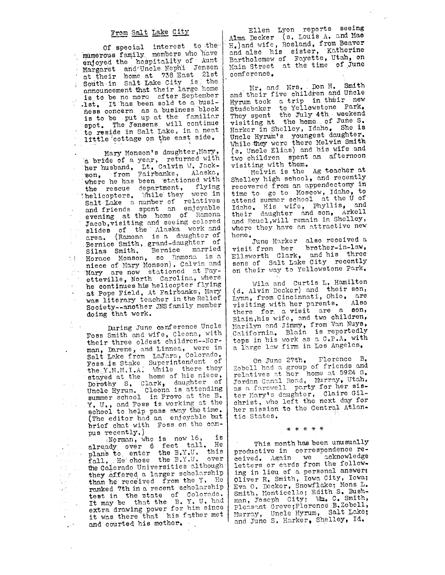Of special interest to the mumerous family members who have enjoyed the nospitality of Aunt Margaret and Uncle Nephi Jensen<br>at their home at 738 East 21st<br>South in Salt Lake City is the announcement that their large home is to be no more after September .1st. It has been sold to a business concern as a business block<br>is to be put up at the familiar spot. The Jensens will continue to reside in Salt Lake, in a neat little cottage on the east side.

Mary Monson's daughter, Mary, a bride of a year, returned with<br>her husband, Lt. Calvin W. Jack-<br>son, from Fairbanks, Alaska, where he has been stationed with the rescue department, flying<br>'helicopters, While they were in Salt Lake a number of relatives<br>and friends spent an enjoyable evening at the home of Ramona<br>Jacob, visiting and seeing colored slides of the Alaska work and area. (Ramona is a daughter of Bernice Smith, grand-daughter of Silas Smith. Bernice married<br>Horace Monson, so Ramona is a<br>niece of Mary Monson). Calvin and Mary are now stationed at Fay-<br>etteville, North Carolina, where he continues his helicopter flying at Pope Field. At Fairbanks, Mary was literary teacher in the Relief<br>Society--another JNS family member doing that work.

> During June conference Uncle Foss Smith and wife, Cleona, with their three oldest children--Norman, Darene, and Linnea, were in<br>Salt Lake from LaJara, Colorado, ball have irom haddra, colorado.<br>Foss.is Stake Superintendent of<br>the Y.M.M.I.A. While there they<br>stayed at the home of his nice,<br>Dorothy S. Clark, daughter of<br>Uncle Hyrum. Cleona is attending<br>summer school in Provo at the Y. U., and Foss is working at the school to help pass away the time. (The editor had an enjoyable but brief chat with Foss on the campus recently.)

 $\Delta\phi=2\pi$ 

 $\alpha$  ,  $\beta$ 

 $\mathcal{F}^{\mathcal{G}}_{\mathcal{G}}$  ,  $\mathcal{F}^{\mathcal{G}}_{\mathcal{G}}$  ,  $\mathcal{F}^{\mathcal{G}}_{\mathcal{G}}$ 

经营预算

 $\sigma_{\rm M}^{\rm (1)}$  ,  $\chi$ 

 $\sim$   $\sim$ port in

 $\mathcal{L}^{(1)}$ 

Norman, who is now 16, iв already over 6 feet tall. He plans to enter the B.Y.U. this fall, He chose the B.Y.U. over the Colorado Universities although they offered a larger scholarship than he received from the Y. He ranked 7th in a recent scholarship test in the state of Colorado.<br>It may be that the B.Y.U. had<br>extra drawing power for him since<br>it was there that his father met and courted his mother.

Ellen Lyon reports seeing Alma Decker (s. Louis A. and Mae H.)and wife, Rosland, from Beaver and also his sister, Katherine Bartholomew of Fayette, Utah, on Main Street at the time of June conference.

Mr. and Mrs. Don H. Smith and their five children and Uncle Hyrum took a trip in their new studebaker to Yellowstone Park, They spent the July 4th weekend Harker in Shelley, Idaho. She is Uncle Hyrum's youngest daughter.<br>While they were there Melvin Smith (s. Uncle Elias) and his wife and two children spent an afternoon<br>visiting with them.

Melvin is the Ag teacher at Shelley high school, and recently recovered from an appendectomy in time to go to Moscow, Idaho, to<br>attend summer school at the U of Idaho, His wife, Phyllis, and<br>their daughter and son, Arkell and Reuel, will remain in Shelley, where they have an attractive new home.

June Harker also received a<br>visit from her brother-in-law, Ellsworth Clark, and his three sons of Salt Lake City recently on their way to Yellowstone Park.

Wila and Curtis L. Hamilton (d. Alvin Decker) and their son,<br>Lynn, from Cincinnati, Ohio, are visiting with her parents. Also<br>there for a visit are a son,<br>Blain, his wife, and two children, Marilyn and Jimmy, from Van Nuys, California. Blain is reportedly tops in his work as a C.P.A. with a large law firm in Los Angeles.

On June 27th, Florence B. Zobell had a group of friends and relatives at her home at 5924 S. Jordan Canal Road, Murray, Utah, as a farewell party for her sis-<br>ter Mary's daughter, Claire Gichrist, who left the next day for her mission to the Central Atlantic States.

## \* \* \* \* \*

This month has been unusually productive in correspondence received. Again we acknowledge letters or cards from the following in lieu of a personal answer: Oliver R. Smith, Iowa City, Iowa; Eva O. Decker, Snowflake; Mons L. Smith, Monticello; Edith S. Bushman, Joseph City; Wm. C. Smith, Pleasant Grove; Florence B. Zobell, Murray, Uncle Hyrum, Salt Lake; and June S. Harker, Shelley, Id.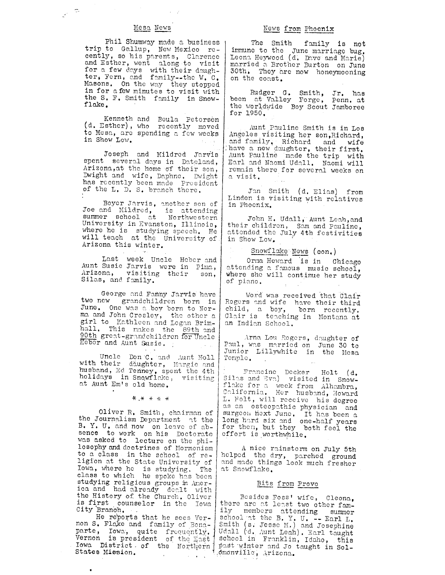## Mesa News

 $\mathbb{R}^{\pm}$ 

Phil Shumway made a business<br>trip to Gallup, New Mexico re-<br>cently, so his parents, Clarence and Esther, went along to visit for a few days with their daugh-<br>ther, Fern, and family--the W.C. Masons. On the way they stopped in for a few minutes to visit with the S. F. Smith family in Snowflake.

Kenneth and Beula Petersen<br>(d. Esther), who recently moved to Mesa, are spending a few weeks in Show Low.

Joseph and Mildred Jarvis spent several days in Dateland, Arizona, at the home of their son, Dwight and wife, Daphne. Dwight has recently been made President of the L. D. S. branch there.

Boyer Jarvis, another son of Joe and Mildred, is attending<br>summer school at Northwestern University in Evanston, Illinois, where he is studying speech. He will teach at the University of Arizona this winter.

Last week Uncle Heber and Aunt Susie Jarvis were in Pima, Arizona, visiting their son, Silas, and family.

George and Fanny Jarvis have two new grandchildren born in June. One was a boy born to Norma and John Crosley, the other a girl to Kathleen and Logan Brimhall. This makes the 89th and 90th great-grandchildren for Uncle Heber and Aunt Susie.

Uncle Don C. and Aunt Noll<br>with their daughter, Margie and husband, Ed Tenney, spent the 4th holidays in Snowflake, visiting at Aunt Em's old home.

\* \* \* \* \*

Oliver R. Smith, chairman of the Journalism Department at the B. Y. U. and now on leave of absence to work on his Doctorate was asked to lecture on the philosophy and doctrines of Mormonism to a class in the school of religion at the State University of Iowa, where he is studying, The class to which he spoke has been studying religious groups in Amer-<br>ica and had already dealt with the History of the Church. Oliver is first counselor in the Iowa City Branch.

He reports that he sees Vernon S. Flake and family of Bonaparte, Iowa, quite frequently.<br>Vernon is president of the East Iowa District. of the Northern past winter and Jo taught in Sol-States Mission. **Contractor** a na matsayin na kara

 $\bullet$ 

The Smith family is not immune to the June marriage bug.<br>Leona Heywood (d. Dave and Marie)<br>married a Brother Burton on June 30th. They are now honeymooning on the coast.

Rudger G. Smith, Jr. has<br>been at Valley Forge, Penn. at the worldwide Boy Scout Jamboree for 1950.

Aunt Pauline Smith is in Los Angeles visiting her son, Richard, and family, Richard and wife<br>have a new daughter, their first. Aunt Pauline made the trip with Earl and Naomi Udall. Naomi will remain there for several weeks on a visit.

Jan Smith (d. Elias) from Linden is visiting with relatives in Phoenix.

John H. Udall, Aunt Leah, and their children, Sam and Pauline, attended the July 4th festivities in Show Low.

Snowflake News (con.)

Orma Heward is in Chicago attending a famous music school, where she will continue her study of piano.

Word was received that Clair Rogers and wife have their third<br>child, a boy, born recently, Clair is teaching in Montana at an Indian School.

Arna Lou Rogers, deughter of<br>Paul, was married on June 30 to Junior Lillywhite in the Mesa Temple.

I Francine Decker Holt (d. Silas and Eva) visited in Snowflake for a week from Alhambra, California. Her husband, Howard L. Holt, will receive his degree as an osteopathic physician and surgeon hext June. It has been a long hard six and one-half years<br>for then, but they both feel the effort is worthwhile.

A nice rainstorm on July 5th helped the dry, parched ground and made things look much fresher at Snowflake.

# Bits from Provo

Besides Foss' wife, Cleona, there are at least two other family members attending summer school at the B.Y.U. -- Earl L.<br>Smith (s. Jesse M.) and Josephine<br>Udall (d. Aunt Leah). Earl taught school in Franklin, Idaho, this ,dmonville, Arizona.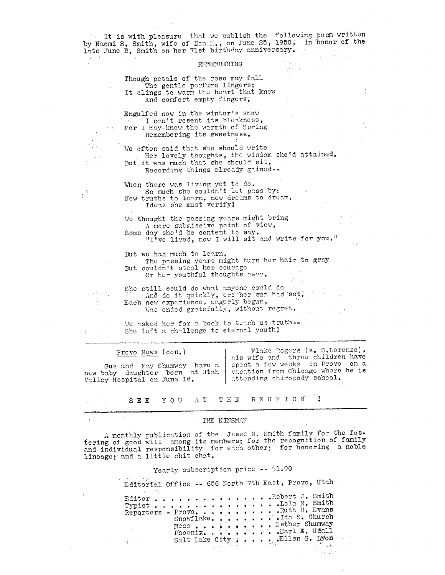It is with pleasure that we publish the following poem written<br>by Naomi S. Smith, wife of Don H., on June 25, 1950, in honor of the late June B. Smith on her 71st birthday anniversary.

## REMEMBER ING

Though petais of the rose may fall The gentle perfume lingers; It clings to warm the heart that knew And comfort empty fingers.

 $\mathbf{r}$ 

 $\frac{1}{2} \frac{1}{2} \frac{d^2}{2}$ 

 $\frac{1}{2}$ 

 $\mathbf{r}$  .

 $\epsilon = \frac{1}{2} \frac{1}{2}$ 

Engulfed now in the winter's snow I can't resent its bleakness, For I may know the warmth of Spring Remembering its sweetness.  $\mathcal{L}$ 

We often said that she should write Her lovely thoughts, the wisdom she'd attained, But it was much that she should sit, Recording things already gained--

When there was living yet to do.<br>So much she couldn't let pass by: New truths to learn, new dreams to dream, Ideas she must verify!

We thought the passing years might bring<br>A more submissive point of view, Some day she'd be content to say, "I've lived, now I will sit and write for you."

But we had much to learn. The passing years might turn her hair to gray But couldn't steal her courage Or her youthful thoughts away.

She still could do what anyone could do And do it quickly, ere her sun had set. Each new experience, eagerly begun, Was ended gratefully, without regret.

We asked her for a book to teach us truth --She left a challenge to eternal youth!

Flake Rogers (s. S.Lorenzo), Provo News (con.) his wife and three children have spent a few weeks in Provo on a vacation from Chicago where he is<br>attending chiropody school. Gus and Fay Shumway have a<br>new baby daughter born at Utah<br>Valley Hospital on June 16.

SEE YOU AT THE REUNION

#### THE KINSMAN

A monthly publication of the Jesse N. Smith family for the fos-<br>tering of good will among its members; for the recognition of family and individual responsibility for each other; for honoring a noble lineage; and a little chit chat.

Yearly subscription price -- \$1.00

za se vez Editorial Office -- 656 North 7th East, Provo, Utah

医肾中的 配 Editor . . . . . . . . . . . . . . Robert J. Smith Sugar to

 $\mathbf{y}_{\mathrm{opt}}$  ,  $\mathbf{y}_{\mathrm{opt}}$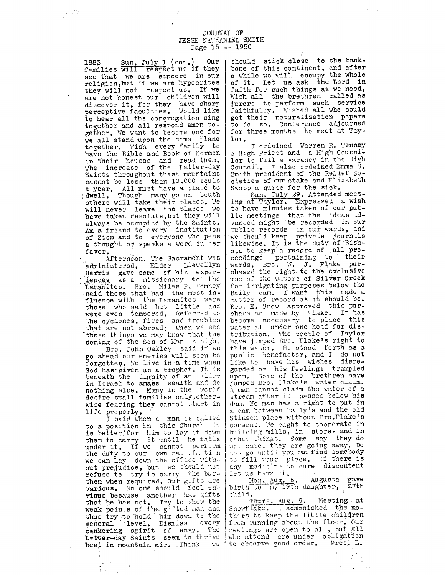#### JOURNAL OF JESSE NATHANIEL SMITH Page 15 -- 1950

1883 Sun. July 1 (con.) Our<br>families will respect us if they Our 1883 see that we are sincere in our religion, but if we are hypocrites they will not respect us. If we are not honest our children will discover it, for they have sharp<br>perceptive faculties. Would like to hear all the congregation sing together and all respond amen together. We want to become one for we all stand upon the same plane together. Wish every family to have the Bible and Book of Mormon in their houses and read them.<br>The increase of the Latter-day Saints throughout these mountains cannot be less than 10,000 souls a year. All must have a place to dwell. Though many go on south others will take their places. We will never leave the places we have taken desolate, but they will always be occupied by the Saints.<br>Am a friend to every institution<br>of Zion and to everyone who pens a thought or speaks a word in her favor.

پس <sub>سني</sub>

Afternoon. The Sacrament was administered. Elder Llevellyn Harris gave some of his exper-Lamanites. Bro. Miles P. Romney<br>eaid those that had the most influence with the Lamanites were<br>those who said but little and<br>were even tempered. Referred to the cyclones, fires and troubles that are not abroad; when we see these things we may know that the coming of the Son of Man is nigh.

Bro, John Oakley said if we go ahead our enemies will soon be forgotten. We live in a time when God has given us a prophet. It is<br>beneath the dignity of an Elder in Israel to amass wealth and do<br>nothing else. Many in the world<br>desire small families only, otherwise fearing they cannot start in life properly.

I said when a man is called to a position in this Church it is better' for him to lay it down<br>than to carry it until he falls under it. If we cannot perform<br>the duty to our own satisfaction we can lay down the office without prejudice, but we should not refuse to try to carry the burthen when required, Our gifts are various. No one should feel envious because another has gifts that he has not. Try to show the weak points of the gifted man and thus try to hold him down to the general level, Dismiss every<br>cankering spirit of envy. The<br>Latter-day Saints seem to thrive best in mountain air. Think we

 $\mathcal{L}_{\mathcal{A}}$ 

 $\mathbf{a}$ 

should stick close to the back-<br>bone of this continent, and after a while we will occupy the whole of it. Let us ask the Lord in faith for such things as we need. Wish all the brethren called as jurors to perform such service<br>faithfully. Wished all who could get their naturalization papers to do so. Conference adjourned for three months to meet at Taylor.

I ordained Warren R. Tenney<br>a High Priest and a High Councilor to fill a vacancy in the High Council. I also ordained Emma S. Smith president of the Relief Societies of our stake and Elizabeth Swapp a nurse for the sick.

Sun, July 29. Attended meet-<br>ing at Taylor. Expressed a wish to have minutes taken of our public meetings that the ideas ad-<br>vanced might be recorded in our public records in our wards, and<br>we should keep private journals likewise. It is the duty of Bishops to keep a record of , all proceedings pertaining to their<br>wards. Bro. W. J. Flake pur-<br>chased the right to the exclusive use of the waters of Silver Creek for irrigating purposes below the Baily dam. I want this made a matter of record as it should be. Bro. E. Snow approved this purchase as made by Flake. It has<br>become necessary to place this water all under one head for distribution. The people of Taylor<br>have jumped Bro. Flake's right to<br>this water. He stood forth as a public benefactor, and I do not like to have his wishes disregarded or his feelings trampled<br>upon. Some of the brethren have jumped Bro. Flake's water claim. A man cannot claim the water of a stream after it passes below his dam. No man has a right to put in a dam between Baily's and the old Stinson place without Bro.Flake's consent. We cught to cooperate in building mills, in stores and in other things. Some say they do net care; they are going away. Do not go until you can find somebody to fill your place. If there is<br>any medicine to cure discontent let us have it.

Mon, Aug. 6. Augusta gave<br>birth to my 19th daughter, 27th child.

Thurs. Aug. 9. Meeting at<br>Snowflake, I admonished the mothere to keep the little children from running about the floor. Our meetings are open to all, but all who attend are under obligation to observe good order. Pres. L.

 $\sqrt{2}$